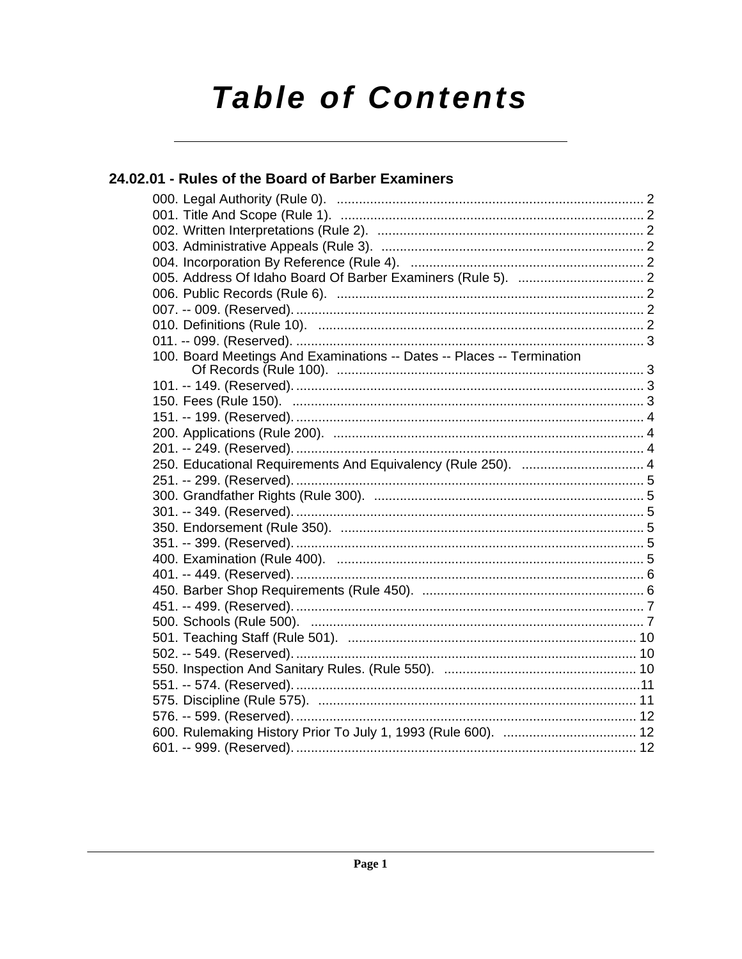# **Table of Contents**

## 24.02.01 - Rules of the Board of Barber Examiners

| 100. Board Meetings And Examinations -- Dates -- Places -- Termination |
|------------------------------------------------------------------------|
|                                                                        |
|                                                                        |
|                                                                        |
|                                                                        |
|                                                                        |
|                                                                        |
| 250. Educational Requirements And Equivalency (Rule 250).  4           |
|                                                                        |
|                                                                        |
|                                                                        |
|                                                                        |
|                                                                        |
|                                                                        |
|                                                                        |
|                                                                        |
|                                                                        |
|                                                                        |
|                                                                        |
|                                                                        |
|                                                                        |
|                                                                        |
|                                                                        |
|                                                                        |
|                                                                        |
|                                                                        |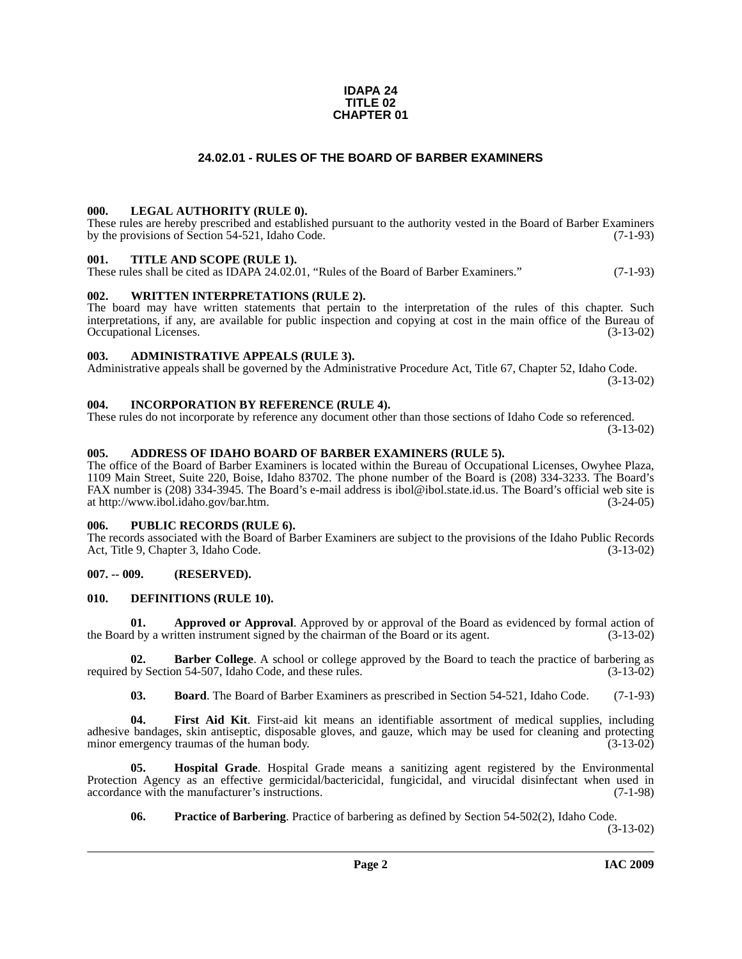#### **IDAPA 24 TITLE 02 CHAPTER 01**

#### **24.02.01 - RULES OF THE BOARD OF BARBER EXAMINERS**

#### <span id="page-1-1"></span><span id="page-1-0"></span>**000. LEGAL AUTHORITY (RULE 0).**

These rules are hereby prescribed and established pursuant to the authority vested in the Board of Barber Examiners by the provisions of Section 54-521, Idaho Code. (7-1-93)

#### <span id="page-1-2"></span>**001. TITLE AND SCOPE (RULE 1).**

These rules shall be cited as IDAPA 24.02.01, "Rules of the Board of Barber Examiners." (7-1-93)

#### <span id="page-1-3"></span>**002. WRITTEN INTERPRETATIONS (RULE 2).**

The board may have written statements that pertain to the interpretation of the rules of this chapter. Such interpretations, if any, are available for public inspection and copying at cost in the main office of the Bureau of Occupational Licenses. (3-13-02) Occupational Licenses.

#### <span id="page-1-4"></span>**003. ADMINISTRATIVE APPEALS (RULE 3).**

Administrative appeals shall be governed by the Administrative Procedure Act, Title 67, Chapter 52, Idaho Code. (3-13-02)

#### <span id="page-1-5"></span>**004. INCORPORATION BY REFERENCE (RULE 4).**

These rules do not incorporate by reference any document other than those sections of Idaho Code so referenced. (3-13-02)

#### <span id="page-1-10"></span><span id="page-1-6"></span>**005. ADDRESS OF IDAHO BOARD OF BARBER EXAMINERS (RULE 5).**

[The office of the Board of Barber Examiners is located within the Bureau of Occupational Licenses, Owyhee Plaza,](http://www.ibol.idaho.gov/bar.htm)  1109 Main Street, Suite 220, Boise, Idaho 83702. The phone number of the Board is (208) 334-3233. The Board's FAX number is (208) 334-3945. The Board's e-mail address is ibol@ibol.state.id.us. The Board's official web site is at http://www.ibol.idaho.gov/bar.htm. (3-24-05)

#### <span id="page-1-7"></span>**006. PUBLIC RECORDS (RULE 6).**

The records associated with the Board of Barber Examiners are subject to the provisions of the Idaho Public Records<br>Act, Title 9, Chapter 3, Idaho Code. (3-13-02) Act, Title 9, Chapter 3, Idaho Code.

#### <span id="page-1-8"></span>**007. -- 009. (RESERVED).**

#### <span id="page-1-12"></span><span id="page-1-9"></span>**010. DEFINITIONS (RULE 10).**

**01. Approved or Approval**. Approved by or approval of the Board as evidenced by formal action of the Board by a written instrument signed by the chairman of the Board or its agent. (3-13-02)

**Barber College**. A school or college approved by the Board to teach the practice of barbering as on 54-507, Idaho Code, and these rules. (3-13-02) required by Section 54-507, Idaho Code, and these rules.

<span id="page-1-13"></span><span id="page-1-11"></span>**03. Board**. The Board of Barber Examiners as prescribed in Section 54-521, Idaho Code. (7-1-93)

**04. First Aid Kit**. First-aid kit means an identifiable assortment of medical supplies, including adhesive bandages, skin antiseptic, disposable gloves, and gauze, which may be used for cleaning and protecting minor emergency traumas of the human body. (3-13-02)

**05. Hospital Grade**. Hospital Grade means a sanitizing agent registered by the Environmental Protection Agency as an effective germicidal/bactericidal, fungicidal, and virucidal disinfectant when used in accordance with the manufacturer's instructions. (7-1-98) accordance with the manufacturer's instructions.

<span id="page-1-15"></span><span id="page-1-14"></span>**06. Practice of Barbering**. Practice of barbering as defined by Section 54-502(2), Idaho Code.

(3-13-02)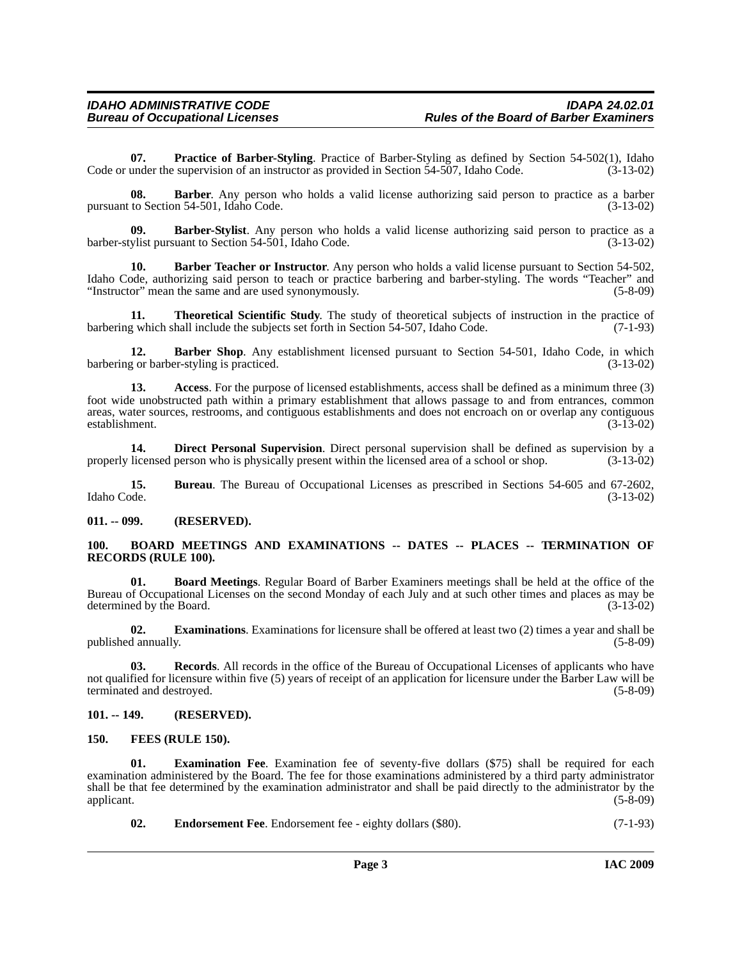<span id="page-2-15"></span>**07. Practice of Barber-Styling**. Practice of Barber-Styling as defined by Section 54-502(1), Idaho Code or under the supervision of an instructor as provided in Section 54-507, Idaho Code. (3-13-02)

**08. Barber**. Any person who holds a valid license authorizing said person to practice as a barber pursuant to Section 54-501, Idaho Code. (3-13-02)

<span id="page-2-7"></span>**09. Barber-Stylist**. Any person who holds a valid license authorizing said person to practice as a barber-stylist pursuant to Section 54-501, Idaho Code. (3-13-02)

<span id="page-2-6"></span>**10. Barber Teacher or Instructor**. Any person who holds a valid license pursuant to Section 54-502, Idaho Code, authorizing said person to teach or practice barbering and barber-styling. The words "Teacher" and<br>
"Instructor" mean the same and are used synonymously. (5-8-09) "Instructor" mean the same and are used synonymously.

<span id="page-2-17"></span>**11. Theoretical Scientific Study**. The study of theoretical subjects of instruction in the practice of g which shall include the subjects set forth in Section 54-507, Idaho Code. (7-1-93) barbering which shall include the subjects set forth in Section 54-507, Idaho Code.

<span id="page-2-5"></span>12. **Barber Shop**. Any establishment licensed pursuant to Section 54-501, Idaho Code, in which barbering or barber-styling is practiced. (3-13-02)

<span id="page-2-4"></span>**13. Access**. For the purpose of licensed establishments, access shall be defined as a minimum three (3) foot wide unobstructed path within a primary establishment that allows passage to and from entrances, common areas, water sources, restrooms, and contiguous establishments and does not encroach on or overlap any contiguous establishment. (3-13-02)

<span id="page-2-10"></span>**14. Direct Personal Supervision**. Direct personal supervision shall be defined as supervision by a properly licensed person who is physically present within the licensed area of a school or shop. (3-13-02)

**15. Bureau**. The Bureau of Occupational Licenses as prescribed in Sections 54-605 and 67-2602, Idaho Code. (3-13-02)

<span id="page-2-0"></span>**011. -- 099. (RESERVED).**

#### <span id="page-2-9"></span><span id="page-2-1"></span>**100. BOARD MEETINGS AND EXAMINATIONS -- DATES -- PLACES -- TERMINATION OF RECORDS (RULE 100).**

<span id="page-2-8"></span>**01. Board Meetings**. Regular Board of Barber Examiners meetings shall be held at the office of the Bureau of Occupational Licenses on the second Monday of each July and at such other times and places as may be determined by the Board. (3-13-02)

<span id="page-2-13"></span>**02. Examinations**. Examinations for licensure shall be offered at least two (2) times a year and shall be published annually. (5-8-09)

<span id="page-2-16"></span>**03. Records**. All records in the office of the Bureau of Occupational Licenses of applicants who have not qualified for licensure within five (5) years of receipt of an application for licensure under the Barber Law will be terminated and destroyed. (5-8-09) terminated and destroyed.

#### <span id="page-2-2"></span>**101. -- 149. (RESERVED).**

#### <span id="page-2-14"></span><span id="page-2-3"></span>**150. FEES (RULE 150).**

**Examination Fee.** Examination fee of seventy-five dollars (\$75) shall be required for each examination administered by the Board. The fee for those examinations administered by a third party administrator shall be that fee determined by the examination administrator and shall be paid directly to the administrator by the applicant. (5-8-09) applicant.  $(5-8-09)$ 

<span id="page-2-12"></span><span id="page-2-11"></span>**02.** Endorsement Fee. Endorsement fee - eighty dollars (\$80). (7-1-93)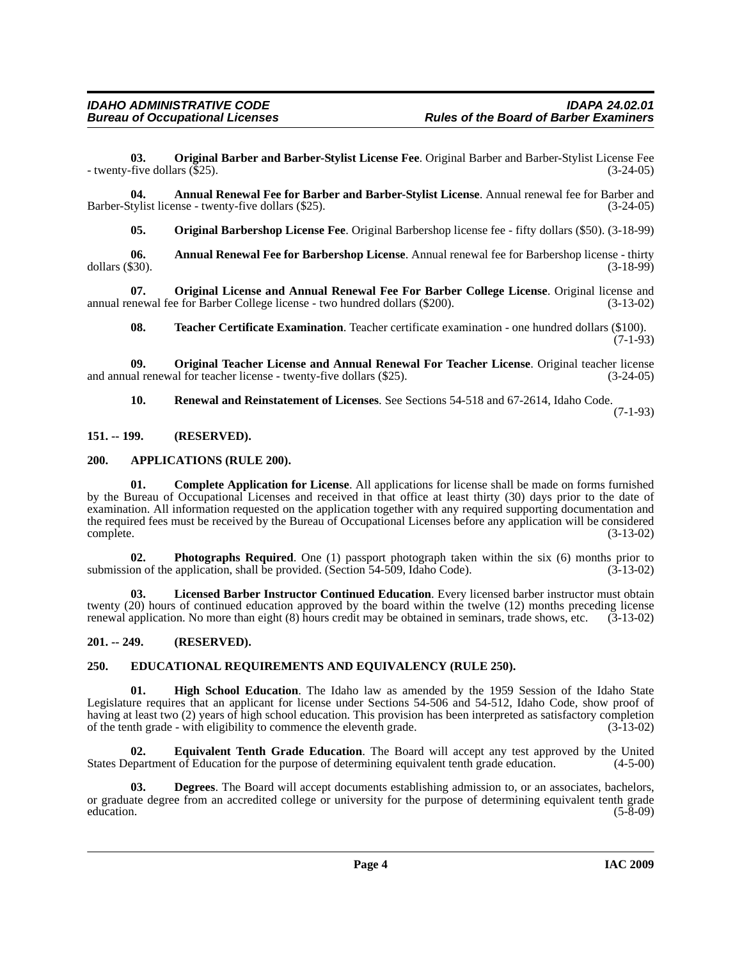<span id="page-3-13"></span>**03. Original Barber and Barber-Stylist License Fee**. Original Barber and Barber-Stylist License Fee - twenty-five dollars (\$25). (3-24-05)

**04. Annual Renewal Fee for Barber and Barber-Stylist License**. Annual renewal fee for Barber and Barber-Stylist license - twenty-five dollars (\$25). (3-24-05)

<span id="page-3-14"></span><span id="page-3-5"></span><span id="page-3-4"></span>**05. Original Barbershop License Fee**. Original Barbershop license fee - fifty dollars (\$50). (3-18-99)

**06.** Annual Renewal Fee for Barbershop License. Annual renewal fee for Barbershop license - thirty dollars (\$30). (3-18-99) dollars (\$30). (3-18-99)

**07. Original License and Annual Renewal Fee For Barber College License**. Original license and annual renewal fee for Barber College license - two hundred dollars (\$200). (3-13-02)

<span id="page-3-19"></span><span id="page-3-16"></span><span id="page-3-15"></span>**08. Teacher Certificate Examination**. Teacher certificate examination - one hundred dollars (\$100).  $(7-1-93)$ 

**09. Original Teacher License and Annual Renewal For Teacher License**. Original teacher license and annual renewal for teacher license - twenty-five dollars (\$25). (3-24-05)

<span id="page-3-18"></span><span id="page-3-7"></span>**10. Renewal and Reinstatement of Licenses**. See Sections 54-518 and 67-2614, Idaho Code. (7-1-93)

#### <span id="page-3-0"></span>**151. -- 199. (RESERVED).**

#### <span id="page-3-6"></span><span id="page-3-1"></span>**200. APPLICATIONS (RULE 200).**

**01. Complete Application for License**. All applications for license shall be made on forms furnished by the Bureau of Occupational Licenses and received in that office at least thirty (30) days prior to the date of examination. All information requested on the application together with any required supporting documentation and the required fees must be received by the Bureau of Occupational Licenses before any application will be considered complete. (3-13-02)

<span id="page-3-17"></span>**02. Photographs Required**. One (1) passport photograph taken within the six (6) months prior to submission of the application, shall be provided. (Section  $54-509$ , Idaho Code). (3-13-02)

<span id="page-3-12"></span>**03. Licensed Barber Instructor Continued Education**. Every licensed barber instructor must obtain twenty (20) hours of continued education approved by the board within the twelve (12) months preceding license renewal application. No more than eight (8) hours credit may be obtained in seminars, trade shows, etc. (3-13-02)

#### <span id="page-3-2"></span>**201. -- 249. (RESERVED).**

#### <span id="page-3-9"></span><span id="page-3-3"></span>**250. EDUCATIONAL REQUIREMENTS AND EQUIVALENCY (RULE 250).**

<span id="page-3-11"></span>**01. High School Education**. The Idaho law as amended by the 1959 Session of the Idaho State Legislature requires that an applicant for license under Sections 54-506 and 54-512, Idaho Code, show proof of having at least two (2) years of high school education. This provision has been interpreted as satisfactory completion of the tenth grade - with eligibility to commence the eleventh grade. (3-13-02)

<span id="page-3-10"></span>**02. Equivalent Tenth Grade Education**. The Board will accept any test approved by the United States Department of Education for the purpose of determining equivalent tenth grade education. (4-5-00)

<span id="page-3-8"></span>**03. Degrees**. The Board will accept documents establishing admission to, or an associates, bachelors, or graduate degree from an accredited college or university for the purpose of determining equivalent tenth grade education. (5-8-09) education. (5-8-09)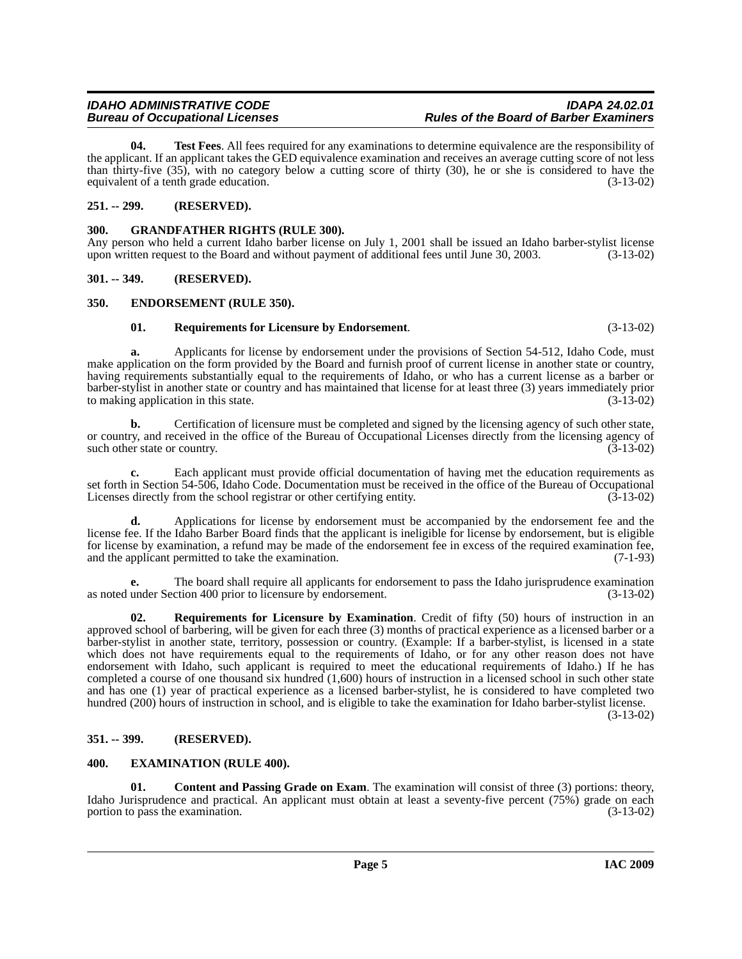<span id="page-4-12"></span>**04. Test Fees**. All fees required for any examinations to determine equivalence are the responsibility of the applicant. If an applicant takes the GED equivalence examination and receives an average cutting score of not less than thirty-five (35), with no category below a cutting score of thirty (30), he or she is considered to have the equivalent of a tenth grade education. (3-13-02)

#### <span id="page-4-0"></span>**251. -- 299. (RESERVED).**

#### <span id="page-4-9"></span><span id="page-4-1"></span>**300. GRANDFATHER RIGHTS (RULE 300).**

Any person who held a current Idaho barber license on July 1, 2001 shall be issued an Idaho barber-stylist license upon written request to the Board and without payment of additional fees until June 30, 2003. (3-13-02)

#### <span id="page-4-2"></span>**301. -- 349. (RESERVED).**

#### <span id="page-4-3"></span>**350. ENDORSEMENT (RULE 350).**

#### <span id="page-4-10"></span><span id="page-4-7"></span>**01. Requirements for Licensure by Endorsement**. (3-13-02)

**a.** Applicants for license by endorsement under the provisions of Section 54-512, Idaho Code, must make application on the form provided by the Board and furnish proof of current license in another state or country, having requirements substantially equal to the requirements of Idaho, or who has a current license as a barber or barber-stylist in another state or country and has maintained that license for at least three (3) years immediately prior to making application in this state.

**b.** Certification of licensure must be completed and signed by the licensing agency of such other state, or country, and received in the office of the Bureau of Occupational Licenses directly from the licensing agency of such other state or country. (3-13-02)

**c.** Each applicant must provide official documentation of having met the education requirements as set forth in Section 54-506, Idaho Code. Documentation must be received in the office of the Bureau of Occupational Licenses directly from the school registrar or other certifying entity. (3-13-02)

**d.** Applications for license by endorsement must be accompanied by the endorsement fee and the license fee. If the Idaho Barber Board finds that the applicant is ineligible for license by endorsement, but is eligible for license by examination, a refund may be made of the endorsement fee in excess of the required examination fee, and the applicant permitted to take the examination. and the applicant permitted to take the examination.

**e.** The board shall require all applicants for endorsement to pass the Idaho jurisprudence examination as noted under Section 400 prior to licensure by endorsement. (3-13-02)

<span id="page-4-11"></span>**02. Requirements for Licensure by Examination**. Credit of fifty (50) hours of instruction in an approved school of barbering, will be given for each three (3) months of practical experience as a licensed barber or a barber-stylist in another state, territory, possession or country. (Example: If a barber-stylist, is licensed in a state which does not have requirements equal to the requirements of Idaho, or for any other reason does not have endorsement with Idaho, such applicant is required to meet the educational requirements of Idaho.) If he has completed a course of one thousand six hundred (1,600) hours of instruction in a licensed school in such other state and has one (1) year of practical experience as a licensed barber-stylist, he is considered to have completed two hundred (200) hours of instruction in school, and is eligible to take the examination for Idaho barber-stylist license.

(3-13-02)

#### <span id="page-4-4"></span>**351. -- 399. (RESERVED).**

#### <span id="page-4-8"></span><span id="page-4-5"></span>**400. EXAMINATION (RULE 400).**

<span id="page-4-6"></span>**01.** Content and Passing Grade on Exam. The examination will consist of three (3) portions: theory, Idaho Jurisprudence and practical. An applicant must obtain at least a seventy-five percent (75%) grade on each portion to pass the examination. (3-13-02) portion to pass the examination.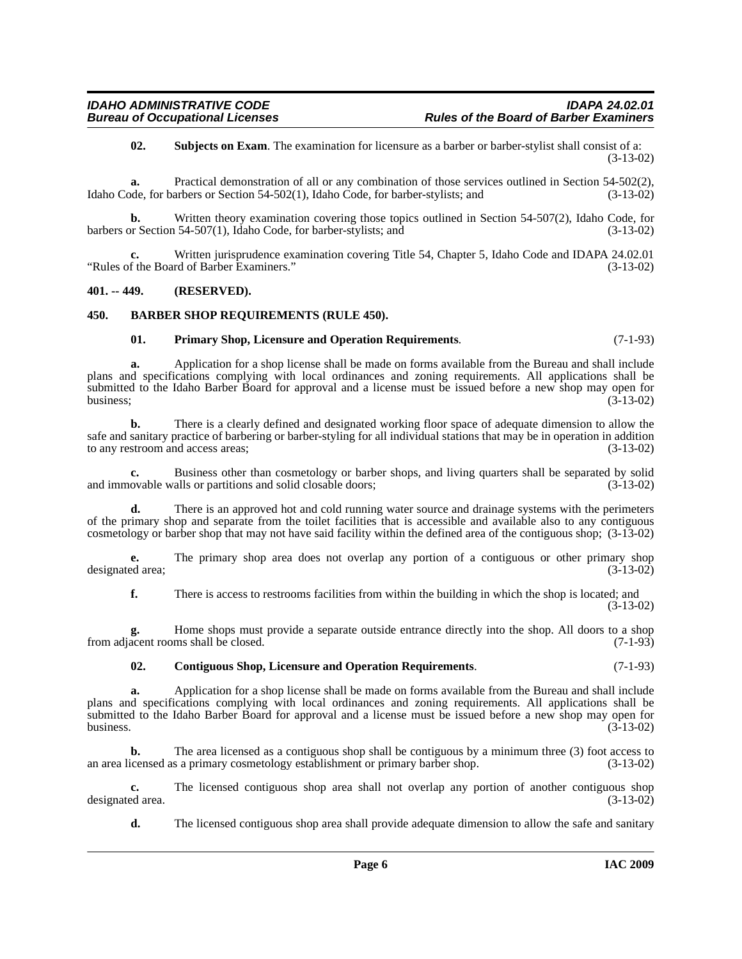<span id="page-5-5"></span>**02. Subjects on Exam**. The examination for licensure as a barber or barber-stylist shall consist of a: (3-13-02)

**a.** Practical demonstration of all or any combination of those services outlined in Section 54-502(2), Idaho Code, for barbers or Section 54-502(1), Idaho Code, for barber-stylists; and (3-13-02)

**b.** Written theory examination covering those topics outlined in Section 54-507(2), Idaho Code, for barbers or Section 54-507(1), Idaho Code, for barber-stylists; and (3-13-02)

Written jurisprudence examination covering Title 54, Chapter 5, Idaho Code and IDAPA 24.02.01<br>rd of Barber Examiners." (3-13-02) "Rules of the Board of Barber Examiners."

#### <span id="page-5-0"></span>**401. -- 449. (RESERVED).**

#### <span id="page-5-1"></span>**450. BARBER SHOP REQUIREMENTS (RULE 450).**

#### <span id="page-5-4"></span><span id="page-5-2"></span>**01. Primary Shop, Licensure and Operation Requirements**. (7-1-93)

**a.** Application for a shop license shall be made on forms available from the Bureau and shall include plans and specifications complying with local ordinances and zoning requirements. All applications shall be submitted to the Idaho Barber Board for approval and a license must be issued before a new shop may open for business;<br>(3-13-02) business;  $(3-13-02)$ 

**b.** There is a clearly defined and designated working floor space of adequate dimension to allow the safe and sanitary practice of barbering or barber-styling for all individual stations that may be in operation in addition<br>(3-13-02) to any restroom and access areas;

**c.** Business other than cosmetology or barber shops, and living quarters shall be separated by solid ovable walls or partitions and solid closable doors; (3-13-02) and immovable walls or partitions and solid closable doors;

**d.** There is an approved hot and cold running water source and drainage systems with the perimeters of the primary shop and separate from the toilet facilities that is accessible and available also to any contiguous cosmetology or barber shop that may not have said facility within the defined area of the contiguous shop; (3-13-02)

**e.** The primary shop area does not overlap any portion of a contiguous or other primary shop designated area; (3-13-02)

**f.** There is access to restrooms facilities from within the building in which the shop is located; and (3-13-02)

**g.** Home shops must provide a separate outside entrance directly into the shop. All doors to a shop from adjacent rooms shall be closed. (7-1-93)

#### <span id="page-5-3"></span>**02. Contiguous Shop, Licensure and Operation Requirements**. (7-1-93)

**a.** Application for a shop license shall be made on forms available from the Bureau and shall include plans and specifications complying with local ordinances and zoning requirements. All applications shall be submitted to the Idaho Barber Board for approval and a license must be issued before a new shop may open for business.  $(3-13-02)$ 

**b.** The area licensed as a contiguous shop shall be contiguous by a minimum three (3) foot access to an area licensed as a primary cosmetology establishment or primary barber shop. (3-13-02)

**c.** The licensed contiguous shop area shall not overlap any portion of another contiguous shop ed area.  $(3-13-02)$ designated area.

**d.** The licensed contiguous shop area shall provide adequate dimension to allow the safe and sanitary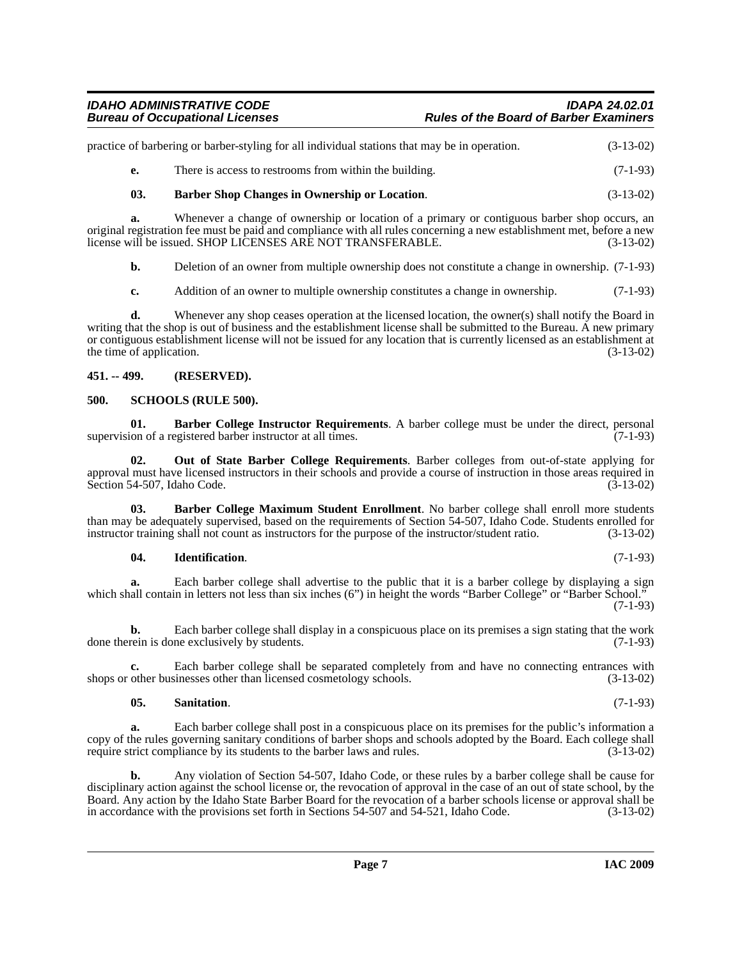| practice of barbering or barber-styling for all individual stations that may be in operation. | $(3-13-02)$ |
|-----------------------------------------------------------------------------------------------|-------------|
| There is access to restrooms from within the building.                                        | $(7-1-93)$  |

#### <span id="page-6-4"></span>**03. Barber Shop Changes in Ownership or Location**. (3-13-02)

**a.** Whenever a change of ownership or location of a primary or contiguous barber shop occurs, an original registration fee must be paid and compliance with all rules concerning a new establishment met, before a new license will be issued. SHOP LICENSES ARE NOT TRANSFERABLE. (3-13-02)

**b.** Deletion of an owner from multiple ownership does not constitute a change in ownership.  $(7-1-93)$ 

**c.** Addition of an owner to multiple ownership constitutes a change in ownership. (7-1-93)

**d.** Whenever any shop ceases operation at the licensed location, the owner(s) shall notify the Board in writing that the shop is out of business and the establishment license shall be submitted to the Bureau. A new primary or contiguous establishment license will not be issued for any location that is currently licensed as an establishment at the time of application.  $(3-13-02)$ 

#### <span id="page-6-0"></span>**451. -- 499. (RESERVED).**

#### <span id="page-6-8"></span><span id="page-6-1"></span>**500. SCHOOLS (RULE 500).**

<span id="page-6-2"></span>**01. Barber College Instructor Requirements**. A barber college must be under the direct, personal supervision of a registered barber instructor at all times. (7-1-93)

<span id="page-6-6"></span>**02. Out of State Barber College Requirements**. Barber colleges from out-of-state applying for approval must have licensed instructors in their schools and provide a course of instruction in those areas required in Section 54-507, Idaho Code. (3-13-02) Section 54-507, Idaho Code.

**03. Barber College Maximum Student Enrollment**. No barber college shall enroll more students than may be adequately supervised, based on the requirements of Section 54-507, Idaho Code. Students enrolled for instructor training shall not count as instructors for the purpose of the instructor/student ratio. (3-13-02)

#### <span id="page-6-5"></span><span id="page-6-3"></span>**04. Identification**. (7-1-93)

**a.** Each barber college shall advertise to the public that it is a barber college by displaying a sign which shall contain in letters not less than six inches (6") in height the words "Barber College" or "Barber School." (7-1-93)

**b.** Each barber college shall display in a conspicuous place on its premises a sign stating that the work done therein is done exclusively by students. (7-1-93)

**c.** Each barber college shall be separated completely from and have no connecting entrances with shops or other businesses other than licensed cosmetology schools. (3-13-02)

#### <span id="page-6-7"></span>**05. Sanitation**. (7-1-93)

**a.** Each barber college shall post in a conspicuous place on its premises for the public's information a copy of the rules governing sanitary conditions of barber shops and schools adopted by the Board. Each college shall require strict compliance by its students to the barber laws and rules. (3-13-02)

**b.** Any violation of Section 54-507, Idaho Code, or these rules by a barber college shall be cause for disciplinary action against the school license or, the revocation of approval in the case of an out of state school, by the Board. Any action by the Idaho State Barber Board for the revocation of a barber schools license or approval shall be in accordance with the provisions set forth in Sections 54-507 and 54-521, Idaho Code. (3-13-02) in accordance with the provisions set forth in Sections 54-507 and 54-521, Idaho Code.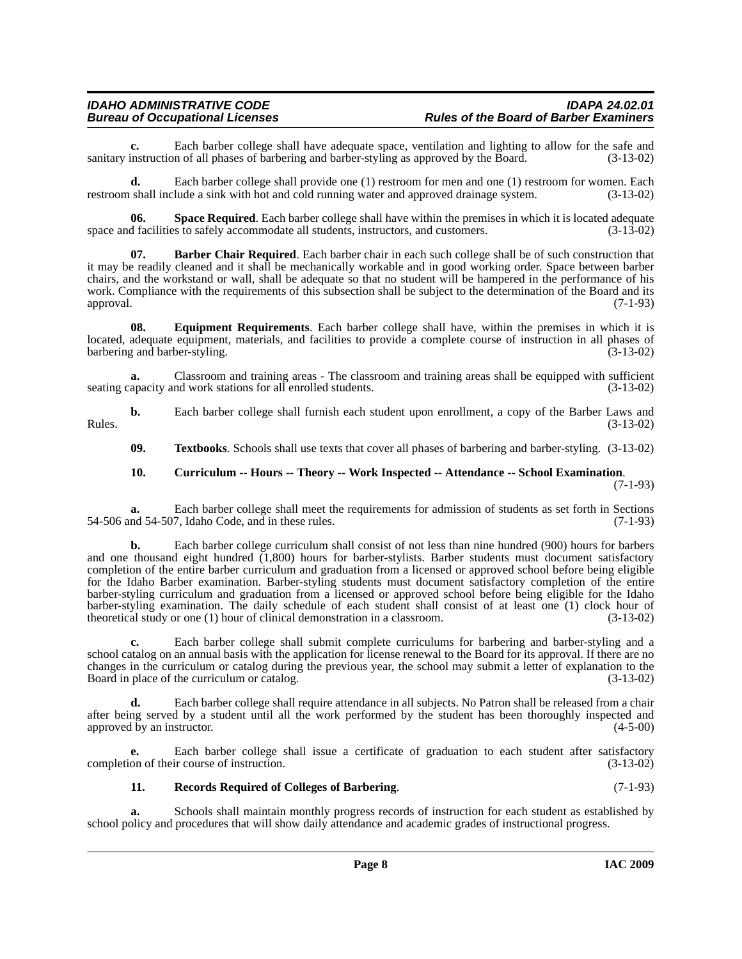**c.** Each barber college shall have adequate space, ventilation and lighting to allow for the safe and instruction of all phases of barbering and barber-styling as approved by the Board. (3-13-02) sanitary instruction of all phases of barbering and barber-styling as approved by the Board.

**d.** Each barber college shall provide one (1) restroom for men and one (1) restroom for women. Each restroom shall include a sink with hot and cold running water and approved drainage system. (3-13-02)

<span id="page-7-4"></span>**06.** Space Required. Each barber college shall have within the premises in which it is located adequate of facilities to safely accommodate all students, instructors, and customers. (3-13-02) space and facilities to safely accommodate all students, instructors, and customers.

<span id="page-7-0"></span>**07. Barber Chair Required**. Each barber chair in each such college shall be of such construction that it may be readily cleaned and it shall be mechanically workable and in good working order. Space between barber chairs, and the workstand or wall, shall be adequate so that no student will be hampered in the performance of his work. Compliance with the requirements of this subsection shall be subject to the determination of the Board and its approval. (7-1-93)

<span id="page-7-2"></span>**08. Equipment Requirements**. Each barber college shall have, within the premises in which it is located, adequate equipment, materials, and facilities to provide a complete course of instruction in all phases of barbering and barber-styling. (3-13-02)

**a.** Classroom and training areas - The classroom and training areas shall be equipped with sufficient seating capacity and work stations for all enrolled students. (3-13-02)

**b.** Each barber college shall furnish each student upon enrollment, a copy of the Barber Laws and Rules.  $(3-13-02)$ 

<span id="page-7-5"></span>**09. Textbooks**. Schools shall use texts that cover all phases of barbering and barber-styling. (3-13-02)

#### <span id="page-7-1"></span>**10. Curriculum -- Hours -- Theory -- Work Inspected -- Attendance -- School Examination**. (7-1-93)

**a.** Each barber college shall meet the requirements for admission of students as set forth in Sections

54-506 and 54-507, Idaho Code, and in these rules. (7-1-93)

**b.** Each barber college curriculum shall consist of not less than nine hundred (900) hours for barbers and one thousand eight hundred  $(1,800)$  hours for barber-stylists. Barber students must document satisfactory completion of the entire barber curriculum and graduation from a licensed or approved school before being eligible for the Idaho Barber examination. Barber-styling students must document satisfactory completion of the entire barber-styling curriculum and graduation from a licensed or approved school before being eligible for the Idaho barber-styling examination. The daily schedule of each student shall consist of at least one (1) clock hour of theoretical study or one (1) hour of clinical demonstration in a classroom. (3-13-02) theoretical study or one  $(1)$  hour of clinical demonstration in a classroom.

**c.** Each barber college shall submit complete curriculums for barbering and barber-styling and a school catalog on an annual basis with the application for license renewal to the Board for its approval. If there are no changes in the curriculum or catalog during the previous year, the school may submit a letter of explanation to the Board in place of the curriculum or catalog. (3-13-02)

**d.** Each barber college shall require attendance in all subjects. No Patron shall be released from a chair after being served by a student until all the work performed by the student has been thoroughly inspected and approved by an instructor. (4-5-00) approved by an instructor.

**e.** Each barber college shall issue a certificate of graduation to each student after satisfactory completion of their course of instruction. (3-13-02)

### <span id="page-7-3"></span>**11. Records Required of Colleges of Barbering**. (7-1-93)

**a.** Schools shall maintain monthly progress records of instruction for each student as established by school policy and procedures that will show daily attendance and academic grades of instructional progress.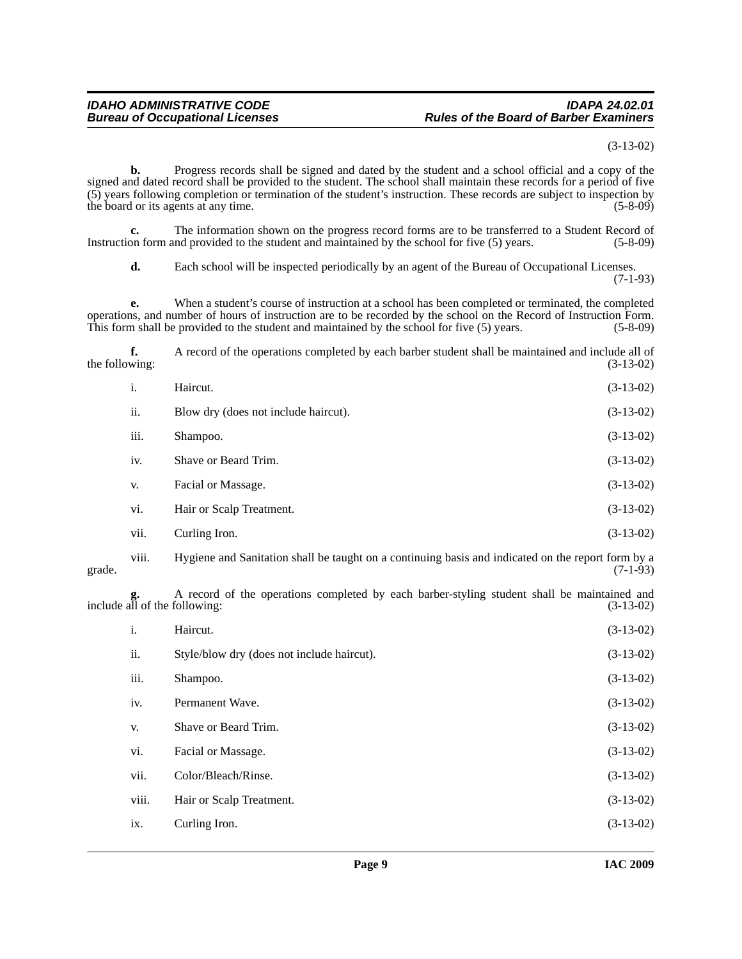(3-13-02)

**b.** Progress records shall be signed and dated by the student and a school official and a copy of the signed and dated record shall be provided to the student. The school shall maintain these records for a period of five (5) years following completion or termination of the student's instruction. These records are subject to inspection by the board or its agents at any time. (5-8-09)

**c.** The information shown on the progress record forms are to be transferred to a Student Record of Instruction form and provided to the student and maintained by the school for five (5) years. (5-8-09)

**d.** Each school will be inspected periodically by an agent of the Bureau of Occupational Licenses. (7-1-93)

**e.** When a student's course of instruction at a school has been completed or terminated, the completed operations, and number of hours of instruction are to be recorded by the school on the Record of Instruction Form. This form shall be provided to the student and maintained by the school for five (5) years. (5-8-09)

**f.** A record of the operations completed by each barber student shall be maintained and include all of the following:  $(3-13-02)$ 

| i.   | Haircut.                             | $(3-13-02)$ |
|------|--------------------------------------|-------------|
| ii.  | Blow dry (does not include haircut). | $(3-13-02)$ |
| iii. | Shampoo.                             | $(3-13-02)$ |
| iv.  | Shave or Beard Trim.                 | $(3-13-02)$ |
| V.   | Facial or Massage.                   | $(3-13-02)$ |
| vi.  | Hair or Scalp Treatment.             | $(3-13-02)$ |
| vii. | Curling Iron.                        | $(3-13-02)$ |

viii. Hygiene and Sanitation shall be taught on a continuing basis and indicated on the report form by a grade.  $(7-1-93)$ 

**g.** A record of the operations completed by each barber-styling student shall be maintained and **g.** A record of the operations completed by each barber-styling student shall be maintained and include all of the following: (3-13-02)

| i.    | Haircut.                                   | $(3-13-02)$ |
|-------|--------------------------------------------|-------------|
| ii.   | Style/blow dry (does not include haircut). | $(3-13-02)$ |
| iii.  | Shampoo.                                   | $(3-13-02)$ |
| iv.   | Permanent Wave.                            | $(3-13-02)$ |
| V.    | Shave or Beard Trim.                       | $(3-13-02)$ |
| vi.   | Facial or Massage.                         | $(3-13-02)$ |
| vii.  | Color/Bleach/Rinse.                        | $(3-13-02)$ |
| viii. | Hair or Scalp Treatment.                   | $(3-13-02)$ |
| ix.   | Curling Iron.                              | $(3-13-02)$ |
|       |                                            |             |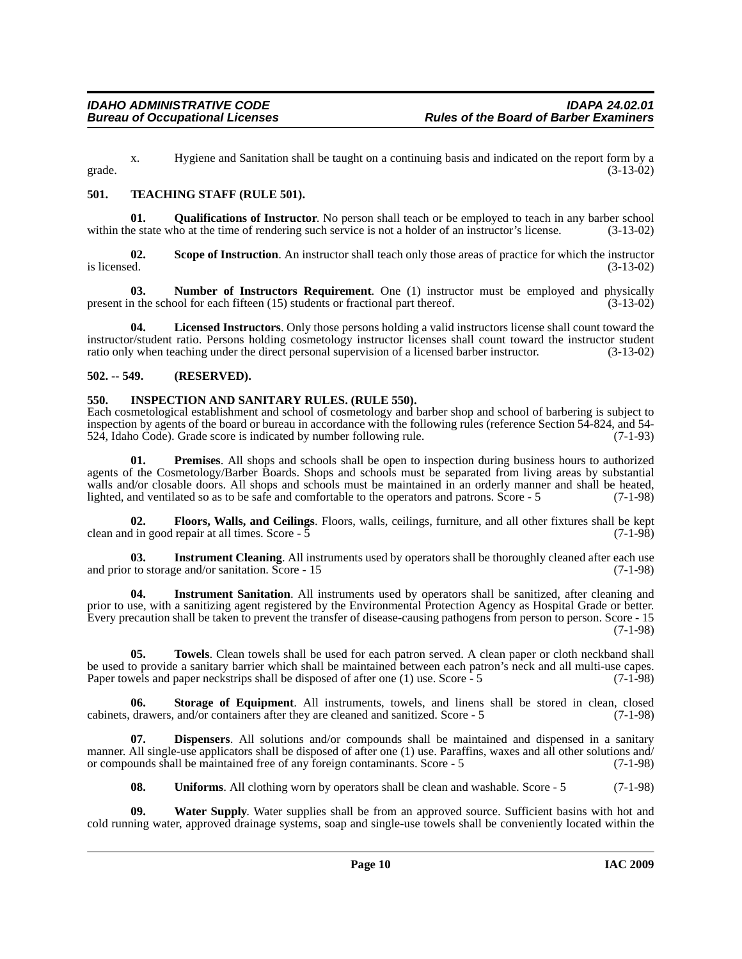x. Hygiene and Sanitation shall be taught on a continuing basis and indicated on the report form by a grade.  $(3-13-02)$ 

#### <span id="page-9-7"></span><span id="page-9-0"></span>**501. TEACHING STAFF (RULE 501).**

<span id="page-9-6"></span>**01. Qualifications of Instructor**. No person shall teach or be employed to teach in any barber school le state who at the time of rendering such service is not a holder of an instructor's license. (3-13-02) within the state who at the time of rendering such service is not a holder of an instructor's license.

**02.** Scope of Instruction. An instructor shall teach only those areas of practice for which the instructor is licensed.  $(3-13-02)$ is licensed.  $(3-13-02)$ 

<span id="page-9-4"></span>**03. Number of Instructors Requirement**. One (1) instructor must be employed and physically present in the school for each fifteen (15) students or fractional part thereof. (3-13-02)

**04. Licensed Instructors**. Only those persons holding a valid instructors license shall count toward the instructor/student ratio. Persons holding cosmetology instructor licenses shall count toward the instructor student ratio only when teaching under the direct personal supervision of a licensed barber instructor. (3-13-02)

#### <span id="page-9-1"></span>**502. -- 549. (RESERVED).**

## <span id="page-9-3"></span><span id="page-9-2"></span>**550. INSPECTION AND SANITARY RULES. (RULE 550).**

Each cosmetological establishment and school of cosmetology and barber shop and school of barbering is subject to inspection by agents of the board or bureau in accordance with the following rules (reference Section 54-824, and 54-<br>524, Idaho Code). Grade score is indicated by number following rule. (7-1-93) 524, Idaho Code). Grade score is indicated by number following rule.

<span id="page-9-5"></span>**01. Premises**. All shops and schools shall be open to inspection during business hours to authorized agents of the Cosmetology/Barber Boards. Shops and schools must be separated from living areas by substantial walls and/or closable doors. All shops and schools must be maintained in an orderly manner and shall be heated, lighted, and ventilated so as to be safe and comfortable to the operators and patrons. Score - 5 (7-1-98)

**02. Floors, Walls, and Ceilings**. Floors, walls, ceilings, furniture, and all other fixtures shall be kept clean and in good repair at all times. Score - 5 (7-1-98)

**03.** Instrument Cleaning. All instruments used by operators shall be thoroughly cleaned after each use and prior to storage and/or sanitation. Score - 15 (7-1-98)

**04. Instrument Sanitation**. All instruments used by operators shall be sanitized, after cleaning and prior to use, with a sanitizing agent registered by the Environmental Protection Agency as Hospital Grade or better. Every precaution shall be taken to prevent the transfer of disease-causing pathogens from person to person. Score - 15 (7-1-98)

**05. Towels**. Clean towels shall be used for each patron served. A clean paper or cloth neckband shall be used to provide a sanitary barrier which shall be maintained between each patron's neck and all multi-use capes. Paper towels and paper neckstrips shall be disposed of after one (1) use. Score - 5 (7-1-98)

**06. Storage of Equipment**. All instruments, towels, and linens shall be stored in clean, closed cabinets, drawers, and/or containers after they are cleaned and sanitized. Score - 5 (7-1-98)

**07. Dispensers**. All solutions and/or compounds shall be maintained and dispensed in a sanitary manner. All single-use applicators shall be disposed of after one (1) use. Paraffins, waxes and all other solutions and/ or compounds shall be maintained free of any foreign contaminants. Score - 5 (7-1-98)

**08.** Uniforms. All clothing worn by operators shall be clean and washable. Score - 5 (7-1-98)

**09. Water Supply**. Water supplies shall be from an approved source. Sufficient basins with hot and cold running water, approved drainage systems, soap and single-use towels shall be conveniently located within the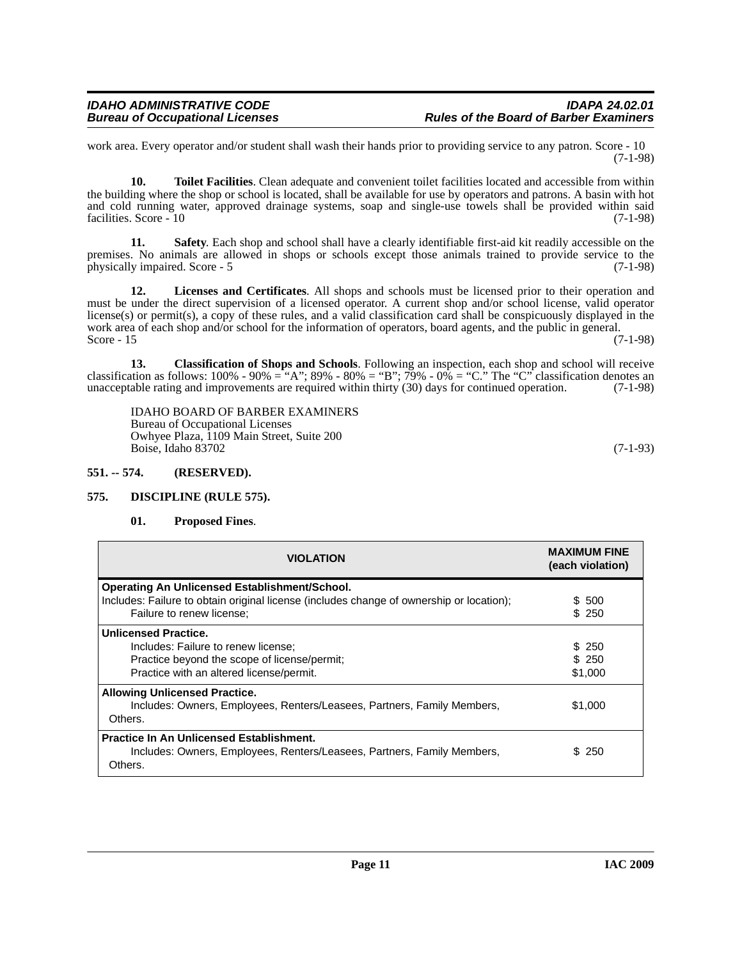work area. Every operator and/or student shall wash their hands prior to providing service to any patron. Score - 10 (7-1-98)

**10. Toilet Facilities**. Clean adequate and convenient toilet facilities located and accessible from within the building where the shop or school is located, shall be available for use by operators and patrons. A basin with hot and cold running water, approved drainage systems, soap and single-use towels shall be provided within said facilities. Score - 10 (7-1-98) facilities. Score - 10

**11. Safety**. Each shop and school shall have a clearly identifiable first-aid kit readily accessible on the premises. No animals are allowed in shops or schools except those animals trained to provide service to the physically impaired. Score - 5 (7-1-98) physically impaired. Score - 5

**12. Licenses and Certificates**. All shops and schools must be licensed prior to their operation and must be under the direct supervision of a licensed operator. A current shop and/or school license, valid operator license(s) or permit(s), a copy of these rules, and a valid classification card shall be conspicuously displayed in the work area of each shop and/or school for the information of operators, board agents, and the public in general.<br>Score - 15 (7-1-98) Score - 15  $(7-1-98)$ 

**13. Classification of Shops and Schools**. Following an inspection, each shop and school will receive classification as follows:  $100\%$  -  $90\%$  = "A";  $89\%$  -  $80\%$  = "B";  $79\%$  -  $0\%$  = "C." The "C" classification denotes an unacceptable rating and improvements are required within thirty (30) days for continued operation. (7-1-98)

IDAHO BOARD OF BARBER EXAMINERS Bureau of Occupational Licenses Owhyee Plaza, 1109 Main Street, Suite 200 Boise, Idaho 83702 (7-1-93)

## <span id="page-10-0"></span>**551. -- 574. (RESERVED).**

### <span id="page-10-1"></span>**575. DISCIPLINE (RULE 575).**

### <span id="page-10-3"></span><span id="page-10-2"></span>**01. Proposed Fines**.

| <b>VIOLATION</b>                                                                                                                                               | <b>MAXIMUM FINE</b><br>(each violation) |
|----------------------------------------------------------------------------------------------------------------------------------------------------------------|-----------------------------------------|
| <b>Operating An Unlicensed Establishment/School.</b><br>Includes: Failure to obtain original license (includes change of ownership or location);               | \$500                                   |
| Failure to renew license;                                                                                                                                      | \$ 250                                  |
| <b>Unlicensed Practice.</b><br>Includes: Failure to renew license;<br>Practice beyond the scope of license/permit;<br>Practice with an altered license/permit. | \$ 250<br>\$ 250<br>\$1,000             |
| <b>Allowing Unlicensed Practice.</b><br>Includes: Owners, Employees, Renters/Leasees, Partners, Family Members,<br>Others.                                     | \$1,000                                 |
| <b>Practice In An Unlicensed Establishment.</b><br>Includes: Owners, Employees, Renters/Leasees, Partners, Family Members,<br>Others.                          | \$250                                   |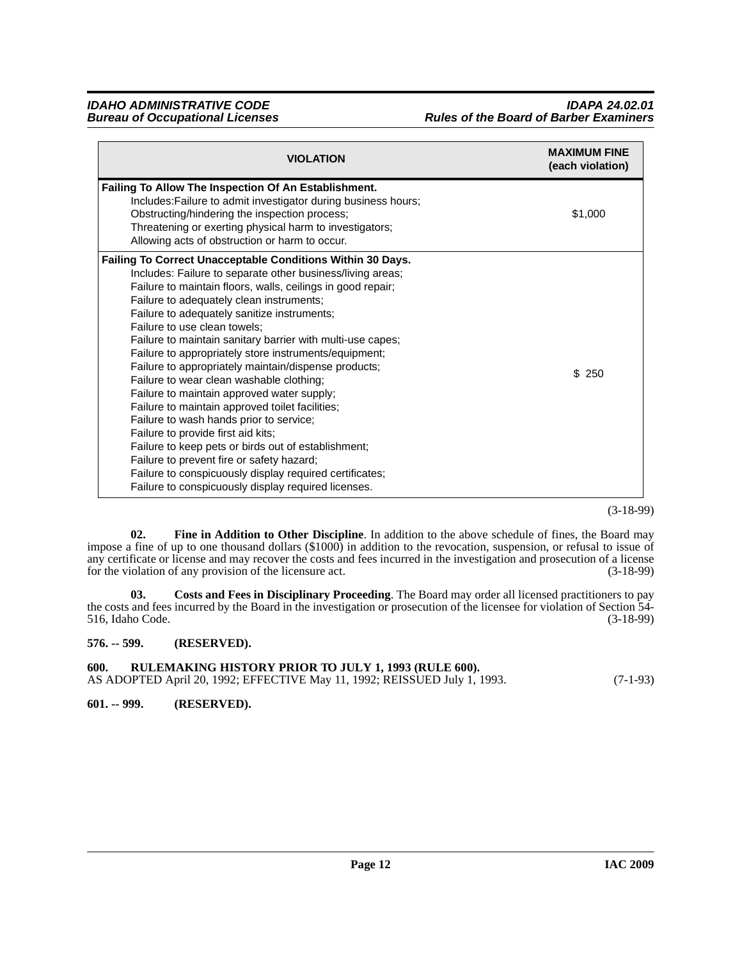| <b>VIOLATION</b>                                                                                                                                                                                                                                                                                                                                                                                                                                                                                                                                                                                                                                                                                                                                                                                                                                                                                                                                      | <b>MAXIMUM FINE</b><br>(each violation) |
|-------------------------------------------------------------------------------------------------------------------------------------------------------------------------------------------------------------------------------------------------------------------------------------------------------------------------------------------------------------------------------------------------------------------------------------------------------------------------------------------------------------------------------------------------------------------------------------------------------------------------------------------------------------------------------------------------------------------------------------------------------------------------------------------------------------------------------------------------------------------------------------------------------------------------------------------------------|-----------------------------------------|
| Failing To Allow The Inspection Of An Establishment.<br>Includes: Failure to admit investigator during business hours;<br>Obstructing/hindering the inspection process;                                                                                                                                                                                                                                                                                                                                                                                                                                                                                                                                                                                                                                                                                                                                                                               | \$1,000                                 |
| Threatening or exerting physical harm to investigators;<br>Allowing acts of obstruction or harm to occur.                                                                                                                                                                                                                                                                                                                                                                                                                                                                                                                                                                                                                                                                                                                                                                                                                                             |                                         |
| Failing To Correct Unacceptable Conditions Within 30 Days.<br>Includes: Failure to separate other business/living areas;<br>Failure to maintain floors, walls, ceilings in good repair;<br>Failure to adequately clean instruments;<br>Failure to adequately sanitize instruments;<br>Failure to use clean towels;<br>Failure to maintain sanitary barrier with multi-use capes;<br>Failure to appropriately store instruments/equipment;<br>Failure to appropriately maintain/dispense products;<br>Failure to wear clean washable clothing;<br>Failure to maintain approved water supply;<br>Failure to maintain approved toilet facilities;<br>Failure to wash hands prior to service;<br>Failure to provide first aid kits;<br>Failure to keep pets or birds out of establishment;<br>Failure to prevent fire or safety hazard;<br>Failure to conspicuously display required certificates;<br>Failure to conspicuously display required licenses. | \$250                                   |

(3-18-99)

<span id="page-11-4"></span>**02. Fine in Addition to Other Discipline**. In addition to the above schedule of fines, the Board may impose a fine of up to one thousand dollars (\$1000) in addition to the revocation, suspension, or refusal to issue of any certificate or license and may recover the costs and fees incurred in the investigation and prosecution of a license<br>for the violation of any provision of the licensure act. (3-18-99) for the violation of any provision of the licensure act.

<span id="page-11-3"></span>**03. Costs and Fees in Disciplinary Proceeding**. The Board may order all licensed practitioners to pay the costs and fees incurred by the Board in the investigation or prosecution of the licensee for violation of Section 54-<br>516, Idaho Code. (3-18-99) 516, Idaho Code.

<span id="page-11-0"></span>**576. -- 599. (RESERVED).**

<span id="page-11-1"></span>**600. RULEMAKING HISTORY PRIOR TO JULY 1, 1993 (RULE 600).** AS ADOPTED April 20, 1992; EFFECTIVE May 11, 1992; REISSUED July 1, 1993. (7-1-93)

<span id="page-11-2"></span>**601. -- 999. (RESERVED).**